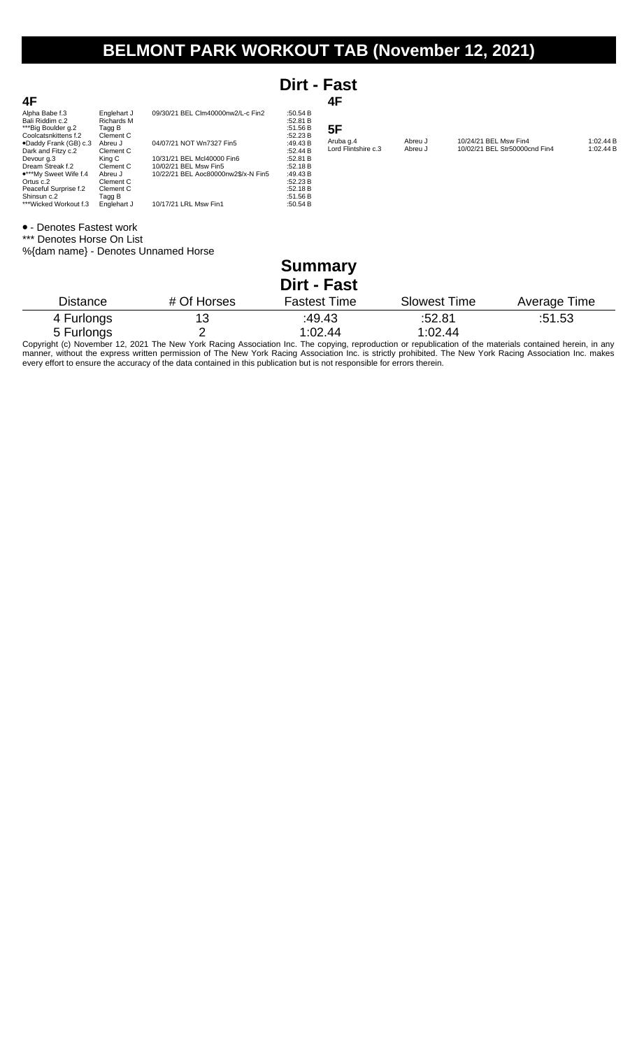## **BELMONT PARK WORKOUT TAB (November 12, 2021)**

|                                                                                 |                                                         |                                     | Dirt - Fast                                  |                                  |                     |                       |                               |                        |
|---------------------------------------------------------------------------------|---------------------------------------------------------|-------------------------------------|----------------------------------------------|----------------------------------|---------------------|-----------------------|-------------------------------|------------------------|
| 4F                                                                              |                                                         |                                     |                                              | 4F                               |                     |                       |                               |                        |
| Alpha Babe f.3<br>Bali Riddim c.2<br>***Big Boulder g.2<br>Coolcatsnkittens f.2 | Englehart J<br><b>Richards M</b><br>Tagg B<br>Clement C | 09/30/21 BEL Clm40000nw2/L-c Fin2   | :50.54 B<br>:52.81 B<br>:51.56 B<br>:52.23 B | 5F                               |                     |                       |                               |                        |
| .Daddy Frank (GB) c.3                                                           | Abreu J                                                 | 04/07/21 NOT Wn7327 Fin5            | :49.43 $B$                                   | Aruba g.4<br>Lord Flintshire c.3 | Abreu J<br>Abreu J  | 10/24/21 BEL Msw Fin4 | 10/02/21 BEL Str50000cnd Fin4 | 1:02.44 B<br>1:02.44 B |
| Dark and Fitzy c.2<br>Devour g.3                                                | Clement C<br>King C                                     | 10/31/21 BEL Mcl40000 Fin6          | :52.44 B<br>:52.81 B                         |                                  |                     |                       |                               |                        |
| Dream Streak f.2                                                                | Clement C                                               | 10/02/21 BEL Msw Fin5               | :52.18 B                                     |                                  |                     |                       |                               |                        |
| ***My Sweet Wife f.4                                                            | Abreu J                                                 | 10/22/21 BEL Aoc80000nw2\$/x-N Fin5 | :49.43 $B$                                   |                                  |                     |                       |                               |                        |
| Ortus c.2<br>Peaceful Surprise f.2                                              | Clement C<br>Clement C                                  |                                     | :52.23 B<br>:52.18 B                         |                                  |                     |                       |                               |                        |
| Shinsun c.2                                                                     | Tagg B                                                  |                                     | :51.56 B                                     |                                  |                     |                       |                               |                        |
| ***Wicked Workout f.3                                                           | Englehart J                                             | 10/17/21 LRL Msw Fin1               | :50.54 B                                     |                                  |                     |                       |                               |                        |
| • - Denotes Fastest work                                                        |                                                         |                                     |                                              |                                  |                     |                       |                               |                        |
| *** Denotes Horse On List                                                       |                                                         |                                     |                                              |                                  |                     |                       |                               |                        |
|                                                                                 |                                                         | %{dam name} - Denotes Unnamed Horse |                                              |                                  |                     |                       |                               |                        |
|                                                                                 |                                                         |                                     |                                              |                                  |                     |                       |                               |                        |
|                                                                                 |                                                         |                                     | <b>Summary</b>                               |                                  |                     |                       |                               |                        |
|                                                                                 |                                                         |                                     | <b>Dirt - Fast</b>                           |                                  |                     |                       |                               |                        |
| <b>Distance</b>                                                                 |                                                         | # Of Horses                         | <b>Fastest Time</b>                          |                                  | <b>Slowest Time</b> |                       | Average Time                  |                        |
| 4 Furlongs                                                                      |                                                         | 13                                  | :49.43                                       |                                  | :52.81              |                       | :51.53                        |                        |

5 Furlongs 2 1:02.44 1:02.44 Copyright (c) November 12, 2021 The New York Racing Association Inc. The copying, reproduction or republication of the materials contained herein, in any manner, without the express written permission of The New York Racing Association Inc. is strictly prohibited. The New York Racing Association Inc. makes every effort to ensure the accuracy of the data contained in this publication but is not responsible for errors therein.